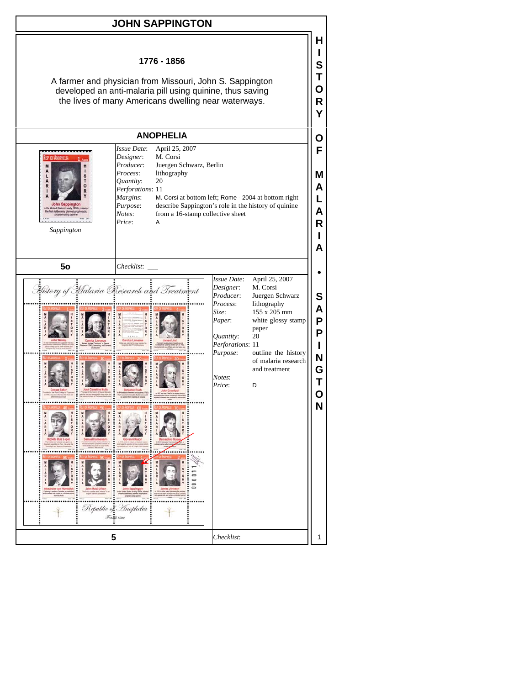